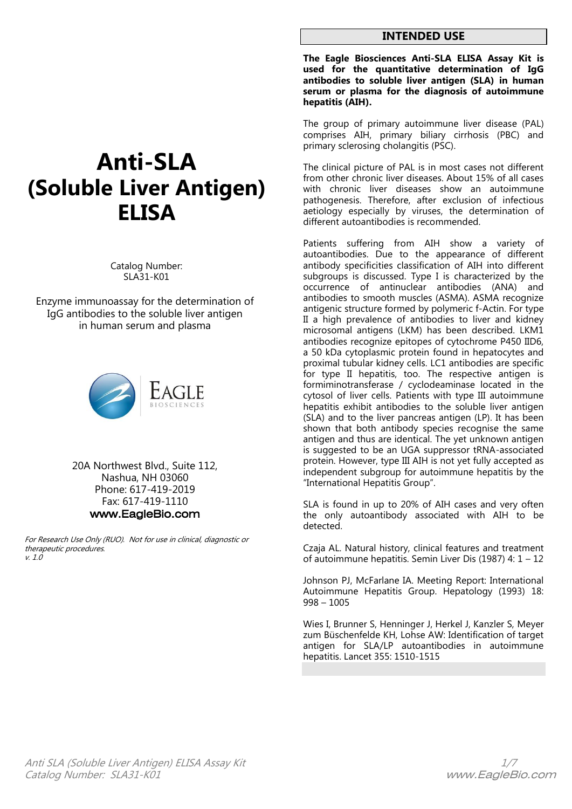## **INTENDED USE**

**The Eagle Biosciences Anti-SLA ELISA Assay Kit is used for the quantitative determination of IgG antibodies to soluble liver antigen (SLA) in human serum or plasma for the diagnosis of autoimmune hepatitis (AIH).** 

The group of primary autoimmune liver disease (PAL) comprises AIH, primary biliary cirrhosis (PBC) and primary sclerosing cholangitis (PSC).

The clinical picture of PAL is in most cases not different from other chronic liver diseases. About 15% of all cases with chronic liver diseases show an autoimmune pathogenesis. Therefore, after exclusion of infectious aetiology especially by viruses, the determination of different autoantibodies is recommended.

Patients suffering from AIH show a variety of autoantibodies. Due to the appearance of different antibody specificities classification of AIH into different subgroups is discussed. Type I is characterized by the occurrence of antinuclear antibodies (ANA) and antibodies to smooth muscles (ASMA). ASMA recognize antigenic structure formed by polymeric f-Actin. For type II a high prevalence of antibodies to liver and kidney microsomal antigens (LKM) has been described. LKM1 antibodies recognize epitopes of cytochrome P450 IID6, a 50 kDa cytoplasmic protein found in hepatocytes and proximal tubular kidney cells. LC1 antibodies are specific for type II hepatitis, too. The respective antigen is formiminotransferase / cyclodeaminase located in the cytosol of liver cells. Patients with type III autoimmune hepatitis exhibit antibodies to the soluble liver antigen (SLA) and to the liver pancreas antigen (LP). It has been shown that both antibody species recognise the same antigen and thus are identical. The yet unknown antigen is suggested to be an UGA suppressor tRNA-associated protein. However, type III AIH is not yet fully accepted as independent subgroup for autoimmune hepatitis by the "International Hepatitis Group".

SLA is found in up to 20% of AIH cases and very often the only autoantibody associated with AIH to be detected.

Czaja AL. Natural history, clinical features and treatment of autoimmune hepatitis. Semin Liver Dis (1987) 4: 1 – 12

Johnson PJ, McFarlane IA. Meeting Report: International Autoimmune Hepatitis Group. Hepatology (1993) 18: 998 – 1005

Wies I, Brunner S, Henninger J, Herkel J, Kanzler S, Meyer zum Büschenfelde KH, Lohse AW: Identification of target antigen for SLA/LP autoantibodies in autoimmune hepatitis. Lancet 355: 1510-1515

# **Anti-SLA (Soluble Liver Antigen) ELISA**

Catalog Number: SLA31-K01

Enzyme immunoassay for the determination of IgG antibodies to the soluble liver antigen in human serum and plasma



20A Northwest Blvd., Suite 112, Nashua, NH 03060 Phone: 617-419-2019 Fax: 617-419-1110 www.EagleBio.com

For Research Use Only (RUO). Not for use in clinical, diagnostic or therapeutic procedures. v. 1.0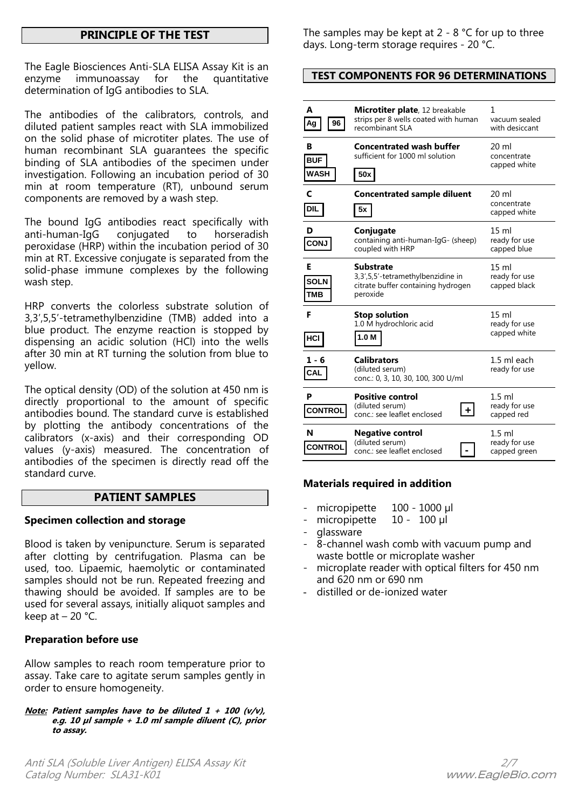# **PRINCIPLE OF THE TEST**

The Eagle Biosciences Anti-SLA ELISA Assay Kit is an enzyme immunoassay for the quantitative determination of IgG antibodies to SLA.

The antibodies of the calibrators, controls, and diluted patient samples react with SLA immobilized on the solid phase of microtiter plates. The use of human recombinant SLA guarantees the specific binding of SLA antibodies of the specimen under investigation. Following an incubation period of 30 min at room temperature (RT), unbound serum components are removed by a wash step.

The bound IgG antibodies react specifically with anti-human-IgG conjugated to horseradish peroxidase (HRP) within the incubation period of 30 min at RT. Excessive conjugate is separated from the solid-phase immune complexes by the following wash step.

HRP converts the colorless substrate solution of 3,3',5,5'-tetramethylbenzidine (TMB) added into a blue product. The enzyme reaction is stopped by dispensing an acidic solution (HCl) into the wells after 30 min at RT turning the solution from blue to yellow.

The optical density (OD) of the solution at 450 nm is directly proportional to the amount of specific antibodies bound. The standard curve is established by plotting the antibody concentrations of the calibrators (x-axis) and their corresponding OD values (y-axis) measured. The concentration of antibodies of the specimen is directly read off the standard curve.

# **PATIENT SAMPLES**

# **Specimen collection and storage**

Blood is taken by venipuncture. Serum is separated after clotting by centrifugation. Plasma can be used, too. Lipaemic, haemolytic or contaminated samples should not be run. Repeated freezing and thawing should be avoided. If samples are to be used for several assays, initially aliquot samples and keep at  $-20$  °C.

# **Preparation before use**

Allow samples to reach room temperature prior to assay. Take care to agitate serum samples gently in order to ensure homogeneity.

#### **Note: Patient samples have to be diluted 1 + 100 (v/v), e.g. 10 µl sample + 1.0 ml sample diluent (C), prior to assay.**

Anti SLA (Soluble Liver Antigen) ELISA Assay Kit 2/7 Catalog Number: SLA31-K01 www.EagleBio.com

The samples may be kept at  $2 - 8$  °C for up to three days. Long-term storage requires - 20 °C.

# **TEST COMPONENTS FOR 96 DETERMINATIONS**

| A<br>96<br>Ag                  | Microtiter plate, 12 breakable<br>strips per 8 wells coated with human<br>recombinant SLA               | 1<br>vacuum sealed<br>with desiccant             |  |
|--------------------------------|---------------------------------------------------------------------------------------------------------|--------------------------------------------------|--|
| в<br><b>BUF</b><br><b>WASH</b> | <b>Concentrated wash buffer</b><br>sufficient for 1000 ml solution<br>50x                               | 20 ml<br>concentrate<br>capped white             |  |
| <b>DIL</b>                     | <b>Concentrated sample diluent</b><br>5x                                                                | 20 ml<br>concentrate<br>capped white             |  |
| D<br><b>CONJ</b>               | Conjugate<br>containing anti-human-IgG- (sheep)<br>coupled with HRP                                     | $15 \text{ ml}$<br>ready for use<br>capped blue  |  |
| Е<br><b>SOLN</b><br><b>TMB</b> | <b>Substrate</b><br>3,3',5,5'-tetramethylbenzidine in<br>citrate buffer containing hydrogen<br>peroxide | $15 \text{ ml}$<br>ready for use<br>capped black |  |
| F<br>HCI                       | <b>Stop solution</b><br>1.0 M hydrochloric acid<br>1.0 <sub>M</sub>                                     | 15 <sub>m</sub><br>ready for use<br>capped white |  |
| $1 - 6$<br>CAL                 | <b>Calibrators</b><br>(diluted serum)<br>conc.: 0, 3, 10, 30, 100, 300 U/ml                             | 1.5 ml each<br>ready for use                     |  |
| P<br><b>CONTROI</b>            | <b>Positive control</b><br>(diluted serum)<br>conc.: see leaflet enclosed                               | $1.5$ ml<br>ready for use<br>capped red          |  |
| N<br><b>CONTRO</b>             | <b>Negative control</b><br>(diluted serum)<br>conc.: see leaflet enclosed                               | $1.5$ ml<br>ready for use<br>capped green        |  |

# **Materials required in addition**

- micropipette 100 1000 µl<br>micropipette 10 100 µl
- micropipette
- glassware
- 8-channel wash comb with vacuum pump and waste bottle or microplate washer
- microplate reader with optical filters for 450 nm and 620 nm or 690 nm
- distilled or de-ionized water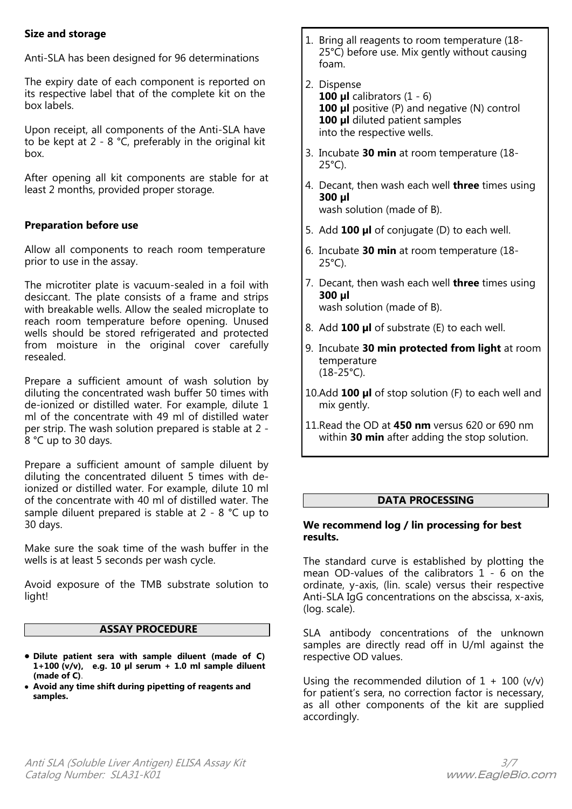# **Size and storage**

Anti-SLA has been designed for 96 determinations

The expiry date of each component is reported on its respective label that of the complete kit on the box labels.

Upon receipt, all components of the Anti-SLA have to be kept at 2 - 8 °C, preferably in the original kit box.

After opening all kit components are stable for at least 2 months, provided proper storage.

# **Preparation before use**

Allow all components to reach room temperature prior to use in the assay.

The microtiter plate is vacuum-sealed in a foil with desiccant. The plate consists of a frame and strips with breakable wells. Allow the sealed microplate to reach room temperature before opening. Unused wells should be stored refrigerated and protected from moisture in the original cover carefully resealed.

Prepare a sufficient amount of wash solution by diluting the concentrated wash buffer 50 times with de-ionized or distilled water. For example, dilute 1 ml of the concentrate with 49 ml of distilled water per strip. The wash solution prepared is stable at 2 - 8 °C up to 30 days.

Prepare a sufficient amount of sample diluent by diluting the concentrated diluent 5 times with deionized or distilled water. For example, dilute 10 ml of the concentrate with 40 ml of distilled water. The sample diluent prepared is stable at 2 - 8 °C up to 30 days.

Make sure the soak time of the wash buffer in the wells is at least 5 seconds per wash cycle.

Avoid exposure of the TMB substrate solution to light!

# **ASSAY PROCEDURE**

- **Dilute patient sera with sample diluent (made of C) 1+100 (v/v), e.g. 10 µl serum + 1.0 ml sample diluent (made of C)**.
- **Avoid any time shift during pipetting of reagents and samples.**
- 1. Bring all reagents to room temperature (18- 25°C) before use. Mix gently without causing foam.
- 2. Dispense **100 µl** calibrators (1 - 6) **100 µl** positive (P) and negative (N) control **100 µl** diluted patient samples into the respective wells.
- 3. Incubate **30 min** at room temperature (18- 25°C).
- 4. Decant, then wash each well **three** times using **300 µl**

wash solution (made of B).

- 5. Add **100 µl** of conjugate (D) to each well.
- 6. Incubate **30 min** at room temperature (18- 25°C).
- 7. Decant, then wash each well **three** times using **300 µl** wash solution (made of B).
- 8. Add **100 µl** of substrate (E) to each well.
- 9. Incubate **30 min protected from light** at room temperature (18-25°C).
- 10.Add **100 µl** of stop solution (F) to each well and mix gently.
- 11.Read the OD at **450 nm** versus 620 or 690 nm within **30 min** after adding the stop solution.

# **DATA PROCESSING**

# **We recommend log / lin processing for best results.**

The standard curve is established by plotting the mean OD-values of the calibrators 1 - 6 on the ordinate, y-axis, (lin. scale) versus their respective Anti-SLA IgG concentrations on the abscissa, x-axis, (log. scale).

SLA antibody concentrations of the unknown samples are directly read off in U/ml against the respective OD values.

Using the recommended dilution of  $1 + 100$  (v/v) for patient's sera, no correction factor is necessary, as all other components of the kit are supplied accordingly.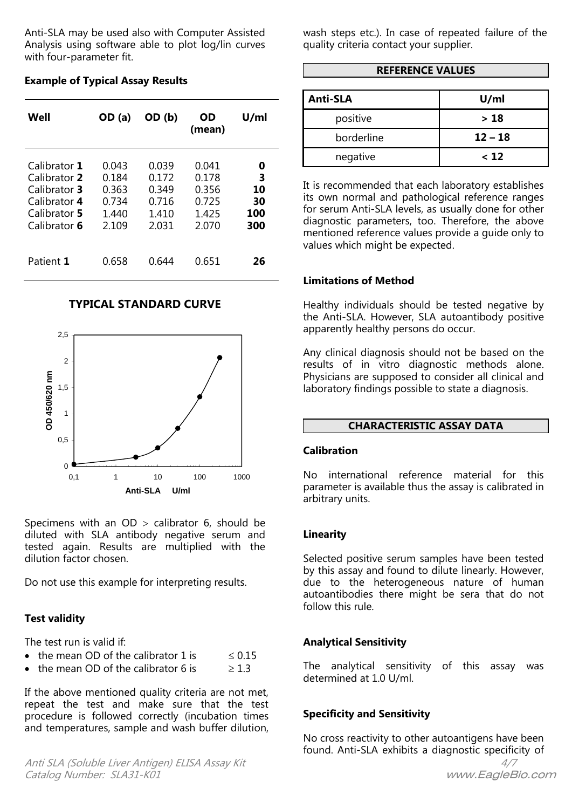Anti-SLA may be used also with Computer Assisted Analysis using software able to plot log/lin curves with four-parameter fit.

**Well OD (a) OD (b) OD (mean) U/ml** Calibrator **1** 0.043 0.039 0.041 **0** Calibrator **2** 0.184 0.172 0.178 **3** Calibrator **3** 0.363 0.349 0.356 **10** Calibrator **4** 0.734 0.716 0.725 **30** Calibrator **5** 1.440 1.410 1.425 **100** Calibrator **6** 2.109 2.031 2.070 Patient **1** 0.658 0.644 0.651 **26**

## **Example of Typical Assay Results**

#### **TYPICAL STANDARD CURVE**



Specimens with an  $OD >$  calibrator 6, should be diluted with SLA antibody negative serum and tested again. Results are multiplied with the dilution factor chosen.

Do not use this example for interpreting results.

#### **Test validity**

The test run is valid if:

|  |  | • the mean OD of the calibrator 1 is | $\leq 0.15$ |
|--|--|--------------------------------------|-------------|
|--|--|--------------------------------------|-------------|

the mean OD of the calibrator 6 is  $\geq 1.3$ 

If the above mentioned quality criteria are not met, repeat the test and make sure that the test procedure is followed correctly (incubation times and temperatures, sample and wash buffer dilution,

Anti SLA (Soluble Liver Antigen) ELISA Assay Kit 4/7 Catalog Number: SLA31-K01 www.EagleBio.com

wash steps etc.). In case of repeated failure of the quality criteria contact your supplier.

## **REFERENCE VALUES**

| <b>Anti-SLA</b> | U/ml      |  |
|-----------------|-----------|--|
| positive        | >18       |  |
| borderline      | $12 - 18$ |  |
| negative        | < 12      |  |

It is recommended that each laboratory establishes its own normal and pathological reference ranges for serum Anti-SLA levels, as usually done for other diagnostic parameters, too. Therefore, the above mentioned reference values provide a guide only to values which might be expected.

#### **Limitations of Method**

Healthy individuals should be tested negative by the Anti-SLA. However, SLA autoantibody positive apparently healthy persons do occur.

Any clinical diagnosis should not be based on the results of in vitro diagnostic methods alone. Physicians are supposed to consider all clinical and laboratory findings possible to state a diagnosis.

# **CHARACTERISTIC ASSAY DATA**

#### **Calibration**

No international reference material for this parameter is available thus the assay is calibrated in arbitrary units.

#### **Linearity**

Selected positive serum samples have been tested by this assay and found to dilute linearly. However, due to the heterogeneous nature of human autoantibodies there might be sera that do not follow this rule.

#### **Analytical Sensitivity**

The analytical sensitivity of this assay was determined at 1.0 U/ml.

#### **Specificity and Sensitivity**

No cross reactivity to other autoantigens have been found. Anti-SLA exhibits a diagnostic specificity of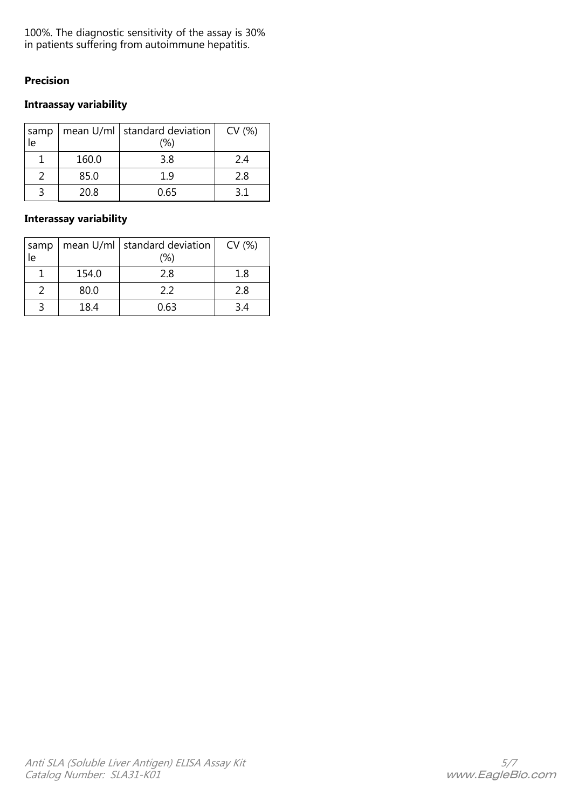100%. The diagnostic sensitivity of the assay is 30% in patients suffering from autoimmune hepatitis.

# **Precision**

# **Intraassay variability**

| samp<br>ie |       | mean $U/ml$ standard deviation<br>(%) | CV (%) |
|------------|-------|---------------------------------------|--------|
|            | 160.0 | 3.8                                   | 2.4    |
|            | 85.0  | 1 9                                   | 2.8    |
|            | 20.8  | 0.65                                  | 3 1    |

# **Interassay variability**

| samp<br>le |       | mean $U/ml$ standard deviation<br>(%) | CV (%) |
|------------|-------|---------------------------------------|--------|
|            | 154.0 | 2.8                                   | 1.8    |
|            | 80.0  | 22                                    | 2.8    |
| ∍          | 18.4  | 0.63                                  | 34     |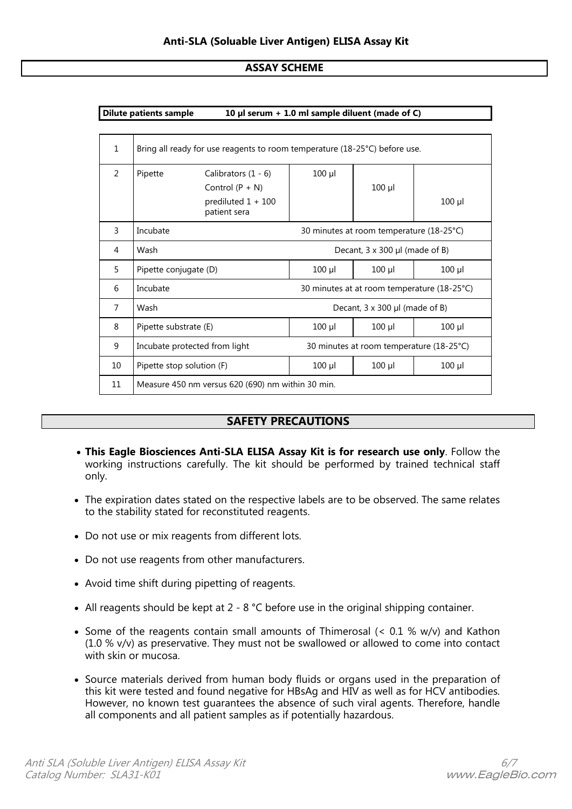## **ASSAY SCHEME**

| 10 µl serum + 1.0 ml sample diluent (made of C)<br><b>Dilute patients sample</b> |                                                                            |                                          |             |             |             |
|----------------------------------------------------------------------------------|----------------------------------------------------------------------------|------------------------------------------|-------------|-------------|-------------|
|                                                                                  |                                                                            |                                          |             |             |             |
| $\mathbf{1}$                                                                     | Bring all ready for use reagents to room temperature (18-25°C) before use. |                                          |             |             |             |
| $\mathcal{P}$                                                                    | Pipette                                                                    | Calibrators $(1 - 6)$                    | $100$ $\mu$ |             |             |
|                                                                                  |                                                                            | Control $(P + N)$                        |             | $100$ $\mu$ |             |
|                                                                                  |                                                                            | prediluted 1 + 100<br>patient sera       |             |             | $100$ $\mu$ |
| 3                                                                                | Incubate                                                                   | 30 minutes at room temperature (18-25°C) |             |             |             |
| 4                                                                                | Wash                                                                       | Decant, 3 x 300 µl (made of B)           |             |             |             |
| 5                                                                                | Pipette conjugate (D)                                                      |                                          | $100$ $\mu$ | $100$ $\mu$ | $100$ $\mu$ |
| 6                                                                                | Incubate<br>30 minutes at at room temperature (18-25°C)                    |                                          |             |             |             |
| $\overline{7}$                                                                   | Wash<br>Decant, $3 \times 300$ µl (made of B)                              |                                          |             |             |             |
| 8                                                                                | Pipette substrate (E)                                                      |                                          | $100$ $\mu$ | $100$ $\mu$ | $100$ $\mu$ |
| 9                                                                                | Incubate protected from light<br>30 minutes at room temperature (18-25°C)  |                                          |             |             |             |
| 10                                                                               | Pipette stop solution (F)                                                  |                                          | $100$ $\mu$ | $100$ $\mu$ | $100$ $\mu$ |
| 11                                                                               | Measure 450 nm versus 620 (690) nm within 30 min.                          |                                          |             |             |             |

# **SAFETY PRECAUTIONS**

- **This Eagle Biosciences Anti-SLA ELISA Assay Kit is for research use only**. Follow the working instructions carefully. The kit should be performed by trained technical staff only.
- The expiration dates stated on the respective labels are to be observed. The same relates to the stability stated for reconstituted reagents.
- Do not use or mix reagents from different lots.
- Do not use reagents from other manufacturers.
- Avoid time shift during pipetting of reagents.
- All reagents should be kept at 2 8 °C before use in the original shipping container.
- Some of the reagents contain small amounts of Thimerosal ( $< 0.1$  % w/v) and Kathon (1.0 % v/v) as preservative. They must not be swallowed or allowed to come into contact with skin or mucosa.
- Source materials derived from human body fluids or organs used in the preparation of this kit were tested and found negative for HBsAg and HIV as well as for HCV antibodies. However, no known test guarantees the absence of such viral agents. Therefore, handle all components and all patient samples as if potentially hazardous.